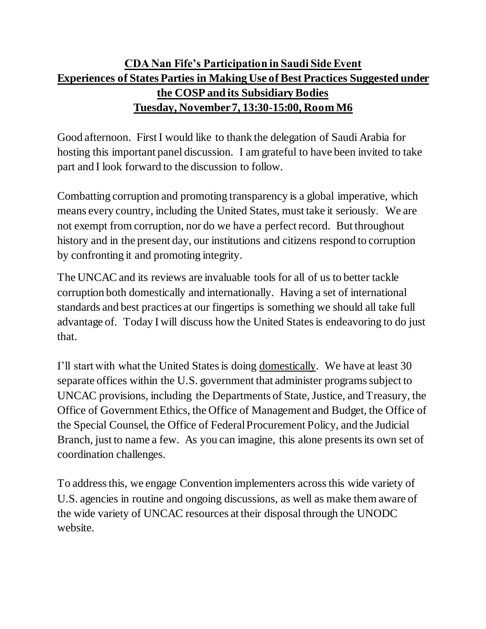## **CDA Nan Fife's Participation in Saudi Side Event Experiences of States Parties in Making Use of Best Practices Suggested under the COSP and its Subsidiary Bodies Tuesday, November 7, 13:30-15:00, Room M6**

Good afternoon. First I would like to thank the delegation of Saudi Arabia for hosting this important panel discussion. I am grateful to have been invited to take part and I look forward to the discussion to follow.

Combatting corruption and promoting transparency is a global imperative, which means every country, including the United States, must take it seriously. We are not exempt from corruption, nor do we have a perfect record. But throughout history and in the present day, our institutions and citizens respond to corruption by confronting it and promoting integrity.

The UNCAC and its reviews are invaluable tools for all of us to better tackle corruption both domestically and internationally. Having a set of international standards and best practices at our fingertips is something we should all take full advantage of. Today I will discuss how the United States is endeavoring to do just that.

I'll start with what the United States is doing domestically. We have at least 30 separate offices within the U.S. government that administer programs subject to UNCAC provisions, including the Departments of State, Justice, and Treasury, the Office of Government Ethics, the Office of Management and Budget, the Office of the Special Counsel, the Office of Federal Procurement Policy, and the Judicial Branch, just to name a few. As you can imagine, this alone presents its own set of coordination challenges.

To address this, we engage Convention implementers acrossthis wide variety of U.S. agencies in routine and ongoing discussions, as well as make them aware of the wide variety of UNCAC resources at their disposal through the UNODC website.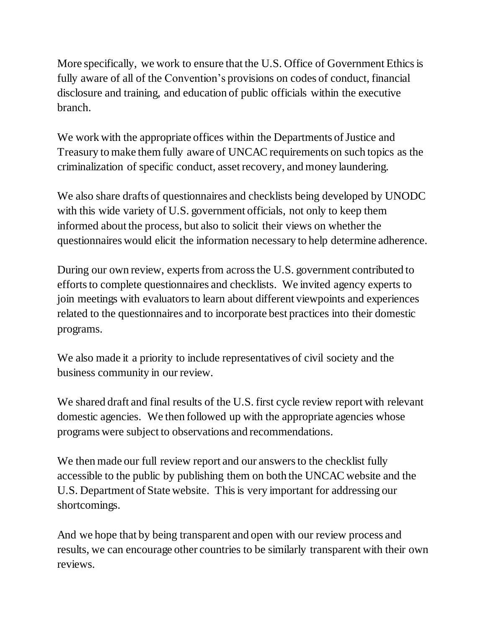More specifically, we work to ensure that the U.S. Office of Government Ethics is fully aware of all of the Convention's provisions on codes of conduct, financial disclosure and training, and education of public officials within the executive branch.

We work with the appropriate offices within the Departments of Justice and Treasury to make them fully aware of UNCAC requirements on such topics as the criminalization of specific conduct, asset recovery, and money laundering.

We also share drafts of questionnaires and checklists being developed by UNODC with this wide variety of U.S. government officials, not only to keep them informed about the process, but also to solicit their views on whether the questionnaires would elicit the information necessary to help determine adherence.

During our own review, experts from across the U.S. government contributed to efforts to complete questionnaires and checklists. We invited agency experts to join meetings with evaluators to learn about different viewpoints and experiences related to the questionnaires and to incorporate best practices into their domestic programs.

We also made it a priority to include representatives of civil society and the business community in our review.

We shared draft and final results of the U.S. first cycle review report with relevant domestic agencies. We then followed up with the appropriate agencies whose programs were subject to observations and recommendations.

We then made our full review report and our answers to the checklist fully accessible to the public by publishing them on both the UNCAC website and the U.S. Department of State website. This is very important for addressing our shortcomings.

And we hope that by being transparent and open with our review process and results, we can encourage other countries to be similarly transparent with their own reviews.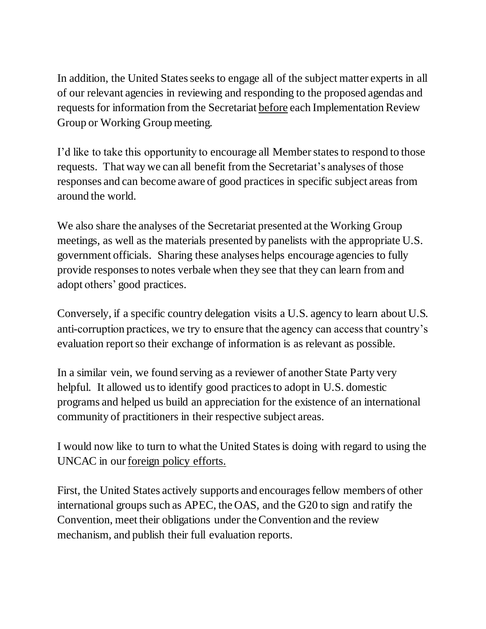In addition, the United States seeks to engage all of the subject matter experts in all of our relevant agencies in reviewing and responding to the proposed agendas and requests for information from the Secretariat before each Implementation Review Group or Working Group meeting.

I'd like to take this opportunity to encourage all Member states to respond to those requests. That way we can all benefit from the Secretariat's analyses of those responses and can become aware of good practices in specific subject areas from around the world.

We also share the analyses of the Secretariat presented at the Working Group meetings, as well as the materials presented by panelists with the appropriate U.S. government officials. Sharing these analyses helps encourage agencies to fully provide responses to notes verbale when they see that they can learn from and adopt others' good practices.

Conversely, if a specific country delegation visits a U.S. agency to learn about U.S. anti-corruption practices, we try to ensure that the agency can access that country's evaluation report so their exchange of information is as relevant as possible.

In a similar vein, we found serving as a reviewer of another State Party very helpful. It allowed us to identify good practices to adopt in U.S. domestic programs and helped us build an appreciation for the existence of an international community of practitioners in their respective subject areas.

I would now like to turn to what the United States is doing with regard to using the UNCAC in our foreign policy efforts.

First, the United States actively supports and encourages fellow members of other international groups such as APEC, the OAS, and the G20 to sign and ratify the Convention, meet their obligations under the Convention and the review mechanism, and publish their full evaluation reports.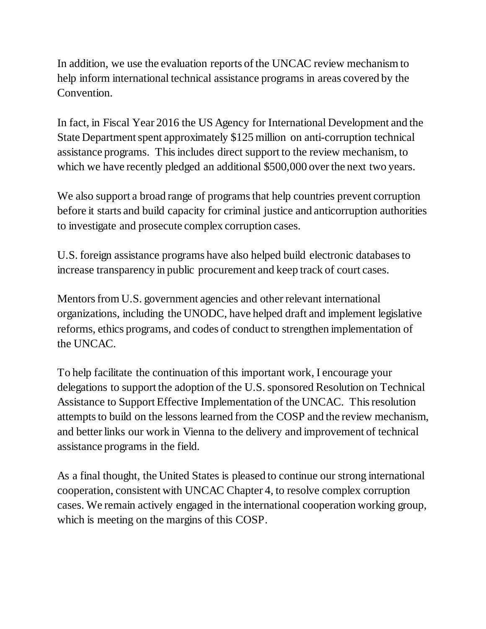In addition, we use the evaluation reports of the UNCAC review mechanism to help inform international technical assistance programs in areas covered by the Convention.

In fact, in Fiscal Year 2016 the US Agency for International Development and the State Department spent approximately \$125 million on anti-corruption technical assistance programs. This includes direct support to the review mechanism, to which we have recently pledged an additional \$500,000 over the next two years.

We also support a broad range of programs that help countries prevent corruption before it starts and build capacity for criminal justice and anticorruption authorities to investigate and prosecute complex corruption cases.

U.S. foreign assistance programs have also helped build electronic databases to increase transparency in public procurement and keep track of court cases.

Mentors from U.S. government agencies and other relevant international organizations, including the UNODC, have helped draft and implement legislative reforms, ethics programs, and codes of conduct to strengthen implementation of the UNCAC.

To help facilitate the continuation of this important work, I encourage your delegations to support the adoption of the U.S. sponsored Resolution on Technical Assistance to Support Effective Implementation of the UNCAC. This resolution attempts to build on the lessons learned from the COSP and the review mechanism, and better links our work in Vienna to the delivery and improvement of technical assistance programs in the field.

As a final thought, the United States is pleased to continue our strong international cooperation, consistent with UNCAC Chapter 4, to resolve complex corruption cases. We remain actively engaged in the international cooperation working group, which is meeting on the margins of this COSP.